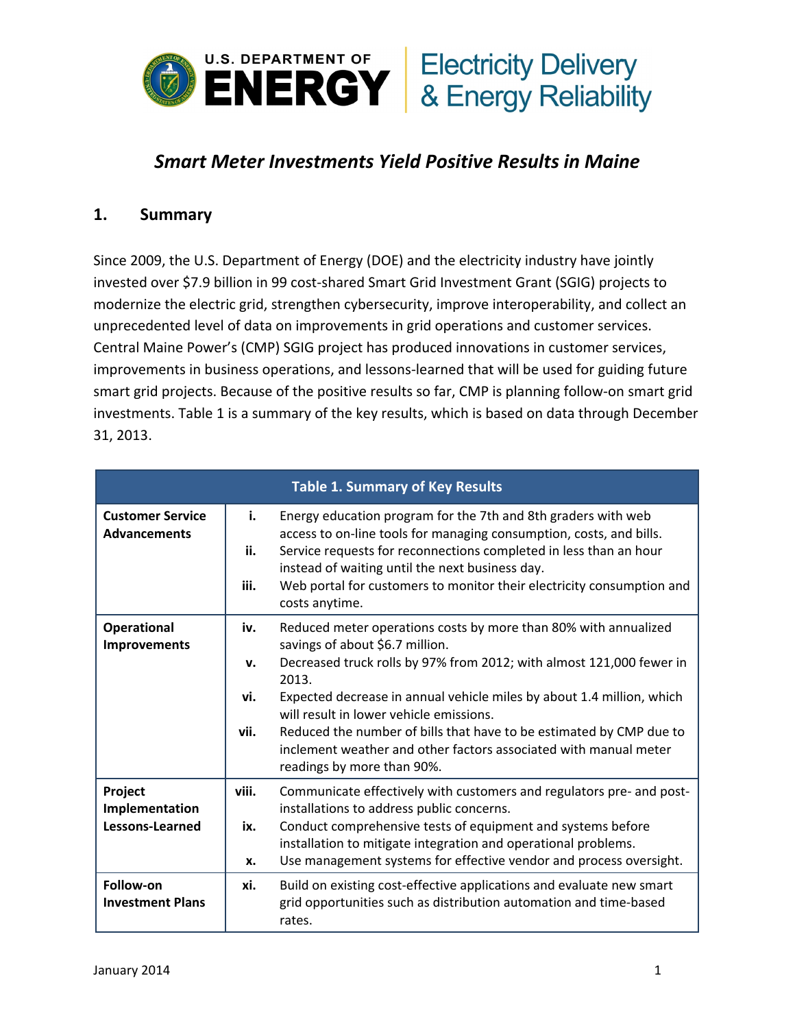

# *Smart Meter Investments Yield Positive Results in Maine*

#### **1. Summary**

Since 2009, the U.S. Department of Energy (DOE) and the electricity industry have jointly invested over \$7.9 billion in 99 cost‐shared Smart Grid Investment Grant (SGIG) projects to modernize the electric grid, strengthen cybersecurity, improve interoperability, and collect an unprecedented level of data on improvements in grid operations and customer services. Central Maine Power's (CMP) SGIG project has produced innovations in customer services, improvements in business operations, and lessons-learned that will be used for guiding future smart grid projects. Because of the positive results so far, CMP is planning follow-on smart grid investments. Table 1 is a summary of the key results, which is based on data through December 31, 2013.

| <b>Table 1. Summary of Key Results</b>         |                          |                                                                                                                                                                                                                                                                                                                                                                                                                                                                                  |  |  |  |
|------------------------------------------------|--------------------------|----------------------------------------------------------------------------------------------------------------------------------------------------------------------------------------------------------------------------------------------------------------------------------------------------------------------------------------------------------------------------------------------------------------------------------------------------------------------------------|--|--|--|
| <b>Customer Service</b><br><b>Advancements</b> | i.<br>ii.<br>iii.        | Energy education program for the 7th and 8th graders with web<br>access to on-line tools for managing consumption, costs, and bills.<br>Service requests for reconnections completed in less than an hour<br>instead of waiting until the next business day.<br>Web portal for customers to monitor their electricity consumption and<br>costs anytime.                                                                                                                          |  |  |  |
| <b>Operational</b><br><b>Improvements</b>      | iv.<br>v.<br>vi.<br>vii. | Reduced meter operations costs by more than 80% with annualized<br>savings of about \$6.7 million.<br>Decreased truck rolls by 97% from 2012; with almost 121,000 fewer in<br>2013.<br>Expected decrease in annual vehicle miles by about 1.4 million, which<br>will result in lower vehicle emissions.<br>Reduced the number of bills that have to be estimated by CMP due to<br>inclement weather and other factors associated with manual meter<br>readings by more than 90%. |  |  |  |
| Project<br>Implementation<br>Lessons-Learned   | viii.<br>ix.<br>X.       | Communicate effectively with customers and regulators pre- and post-<br>installations to address public concerns.<br>Conduct comprehensive tests of equipment and systems before<br>installation to mitigate integration and operational problems.<br>Use management systems for effective vendor and process oversight.                                                                                                                                                         |  |  |  |
| Follow-on<br><b>Investment Plans</b>           | xi.                      | Build on existing cost-effective applications and evaluate new smart<br>grid opportunities such as distribution automation and time-based<br>rates.                                                                                                                                                                                                                                                                                                                              |  |  |  |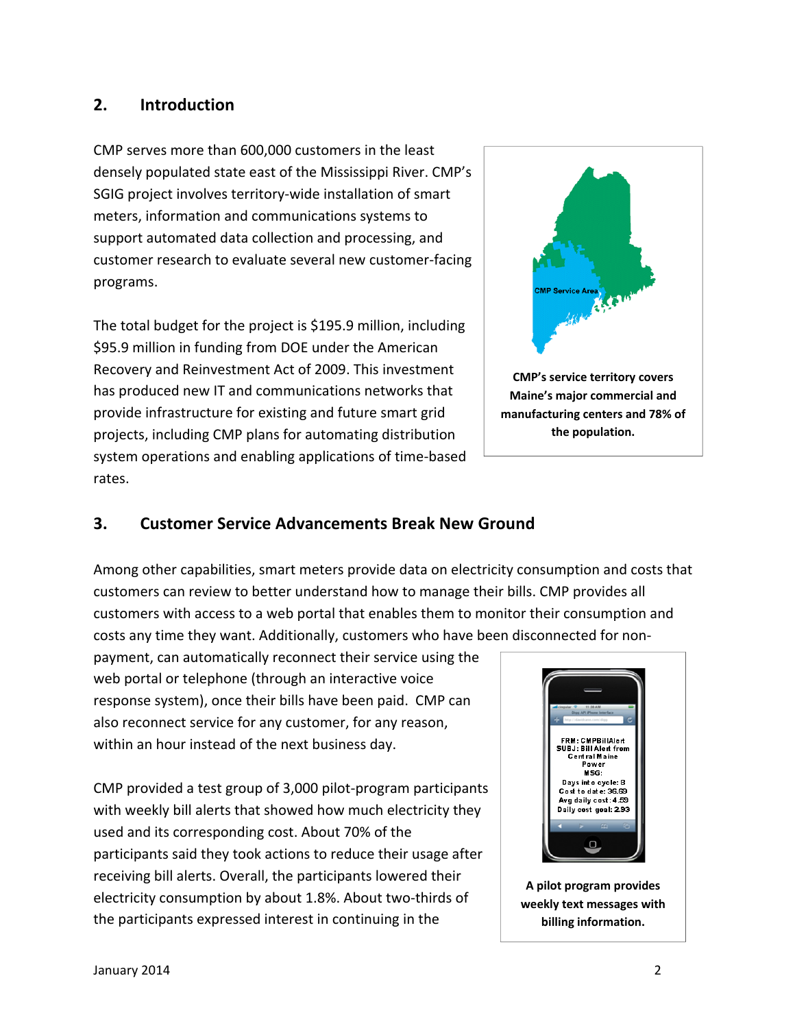## **2. Introduction**

CMP serves more than 600,000 customers in the least densely populated state east of the Mississippi River. CMP's SGIG project involves territory‐wide installation of smart meters, information and communications systems to support automated data collection and processing, and customer research to evaluate several new customer‐facing programs.

The total budget for the project is \$195.9 million, including \$95.9 million in funding from DOE under the American Recovery and Reinvestment Act of 2009. This investment has produced new IT and communications networks that provide infrastructure for existing and future smart grid projects, including CMP plans for automating distribution system operations and enabling applications of time‐based rates.



## **3. Customer Service Advancements Break New Ground**

Among other capabilities, smart meters provide data on electricity consumption and costs that customers can review to better understand how to manage their bills. CMP provides all customers with access to a web portal that enables them to monitor their consumption and costs any time they want. Additionally, customers who have been disconnected for non‐

payment, can automatically reconnect their service using the web portal or telephone (through an interactive voice response system), once their bills have been paid. CMP can also reconnect service for any customer, for any reason, within an hour instead of the next business day.

CMP provided a test group of 3,000 pilot‐program participants with weekly bill alerts that showed how much electricity they used and its corresponding cost. About 70% of the participants said they took actions to reduce their usage after receiving bill alerts. Overall, the participants lowered their electricity consumption by about 1.8%. About two‐thirds of the participants expressed interest in continuing in the



**A pilot program provides weekly text messages with billing information.**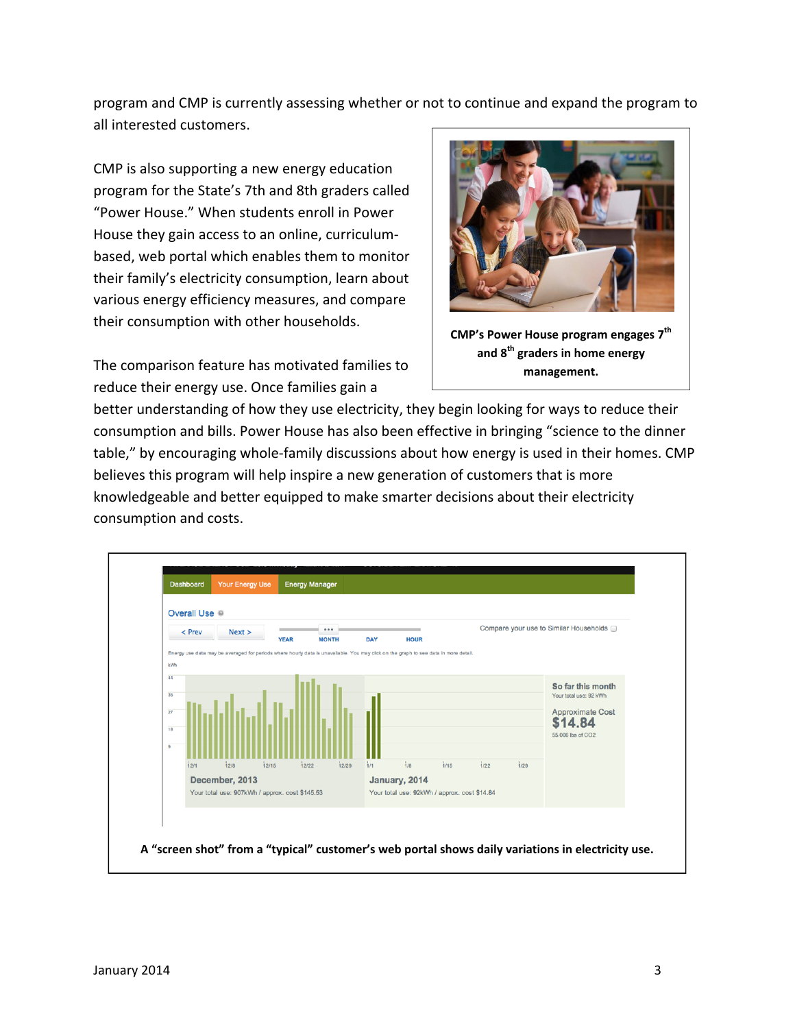program and CMP is currently assessing whether or not to continue and expand the program to all interested customers.

CMP is also supporting a new energy education program for the State's 7th and 8th graders called "Power House." When students enroll in Power House they gain access to an online, curriculum‐ based, web portal which enables them to monitor their family's electricity consumption, learn about various energy efficiency measures, and compare their consumption with other households.

The comparison feature has motivated families to reduce their energy use. Once families gain a



**CMP's Power House program engages 7th and 8th graders in home energy management.**

better understanding of how they use electricity, they begin looking for ways to reduce their consumption and bills. Power House has also been effective in bringing "science to the dinner table," by encouraging whole‐family discussions about how energy is used in their homes. CMP believes this program will help inspire a new generation of customers that is more knowledgeable and better equipped to make smarter decisions about their electricity consumption and costs.

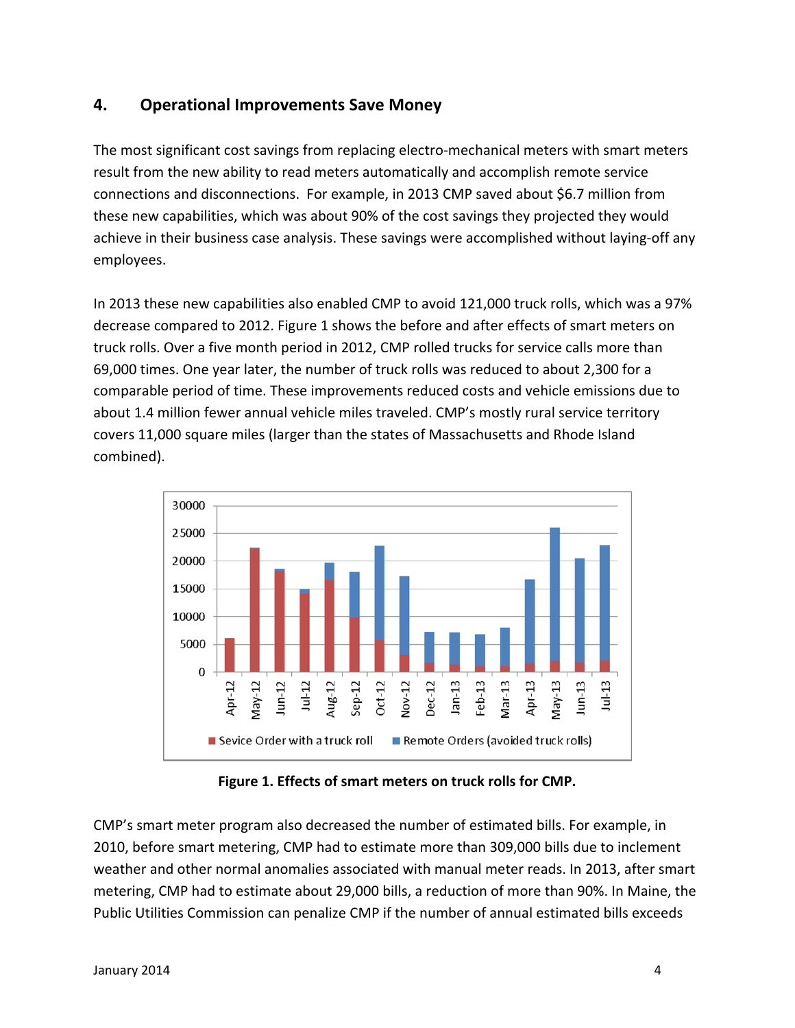## **4. Operational Improvements Save Money**

The most significant cost savings from replacing electro-mechanical meters with smart meters result from the new ability to read meters automatically and accomplish remote service connections and disconnections. For example, in 2013 CMP saved about \$6.7 million from these new capabilities, which was about 90% of the cost savings they projected they would achieve in their business case analysis. These savings were accomplished without laying‐off any employees.

In 2013 these new capabilities also enabled CMP to avoid 121,000 truck rolls, which was a 97% decrease compared to 2012. Figure 1 shows the before and after effects of smart meters on truck rolls. Over a five month period in 2012, CMP rolled trucks for service calls more than 69,000 times. One year later, the number of truck rolls was reduced to about 2,300 for a comparable period of time. These improvements reduced costs and vehicle emissions due to about 1.4 million fewer annual vehicle miles traveled. CMP's mostly rural service territory covers 11,000 square miles (larger than the states of Massachusetts and Rhode Island combined).



**Figure 1. Effects of smart meters on truck rolls for CMP.**

CMP's smart meter program also decreased the number of estimated bills. For example, in 2010, before smart metering, CMP had to estimate more than 309,000 bills due to inclement weather and other normal anomalies associated with manual meter reads. In 2013, after smart metering, CMP had to estimate about 29,000 bills, a reduction of more than 90%. In Maine, the Public Utilities Commission can penalize CMP if the number of annual estimated bills exceeds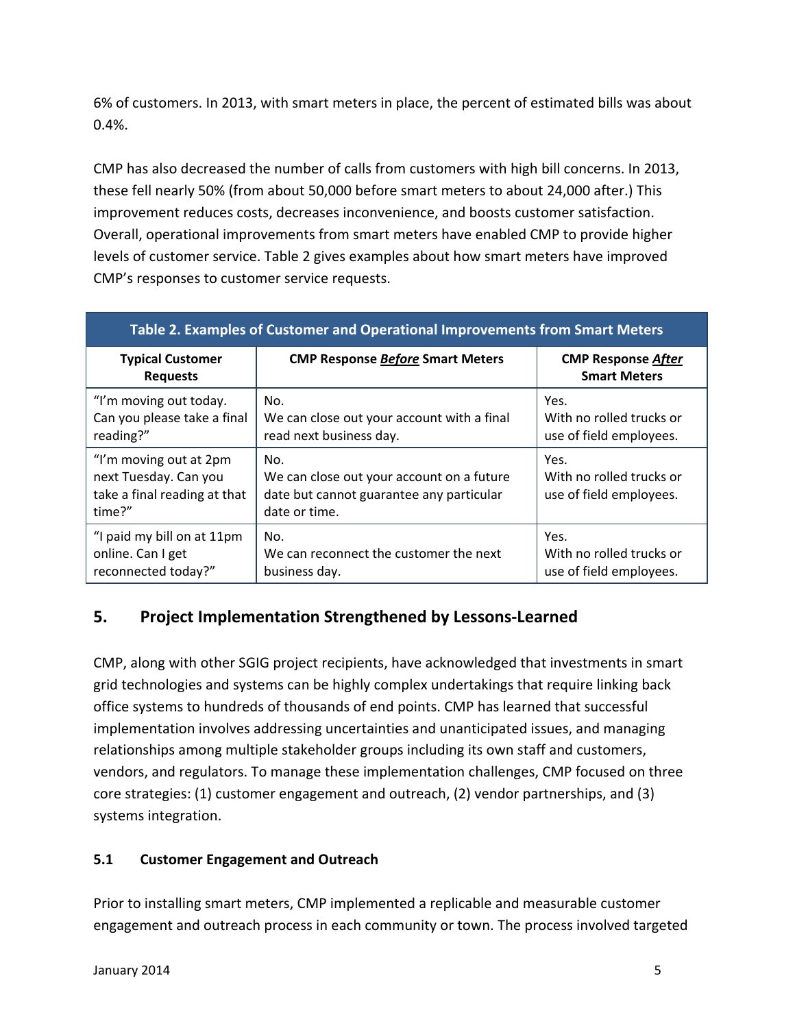6% of customers. In 2013, with smart meters in place, the percent of estimated bills was about 0.4%.

CMP has also decreased the number of calls from customers with high bill concerns. In 2013, these fell nearly 50% (from about 50,000 before smart meters to about 24,000 after.) This improvement reduces costs, decreases inconvenience, and boosts customer satisfaction. Overall, operational improvements from smart meters have enabled CMP to provide higher levels of customer service. Table 2 gives examples about how smart meters have improved CMP's responses to customer service requests.

| Table 2. Examples of Customer and Operational Improvements from Smart Meters              |                                                                                                               |                                                             |  |  |  |
|-------------------------------------------------------------------------------------------|---------------------------------------------------------------------------------------------------------------|-------------------------------------------------------------|--|--|--|
| <b>Typical Customer</b><br><b>Requests</b>                                                | <b>CMP Response Before Smart Meters</b>                                                                       | <b>CMP Response After</b><br><b>Smart Meters</b>            |  |  |  |
| "I'm moving out today.<br>Can you please take a final<br>reading?"                        | No.<br>We can close out your account with a final<br>read next business day.                                  | Yes.<br>With no rolled trucks or<br>use of field employees. |  |  |  |
| "I'm moving out at 2pm<br>next Tuesday. Can you<br>take a final reading at that<br>time?" | No.<br>We can close out your account on a future<br>date but cannot guarantee any particular<br>date or time. | Yes.<br>With no rolled trucks or<br>use of field employees. |  |  |  |
| "I paid my bill on at 11pm<br>online. Can I get<br>reconnected today?"                    | No.<br>We can reconnect the customer the next<br>business day.                                                | Yes.<br>With no rolled trucks or<br>use of field employees. |  |  |  |

## **5. Project Implementation Strengthened by Lessons‐Learned**

CMP, along with other SGIG project recipients, have acknowledged that investments in smart grid technologies and systems can be highly complex undertakings that require linking back office systems to hundreds of thousands of end points. CMP has learned that successful implementation involves addressing uncertainties and unanticipated issues, and managing relationships among multiple stakeholder groups including its own staff and customers, vendors, and regulators. To manage these implementation challenges, CMP focused on three core strategies: (1) customer engagement and outreach, (2) vendor partnerships, and (3) systems integration.

#### **5.1 Customer Engagement and Outreach**

Prior to installing smart meters, CMP implemented a replicable and measurable customer engagement and outreach process in each community or town. The process involved targeted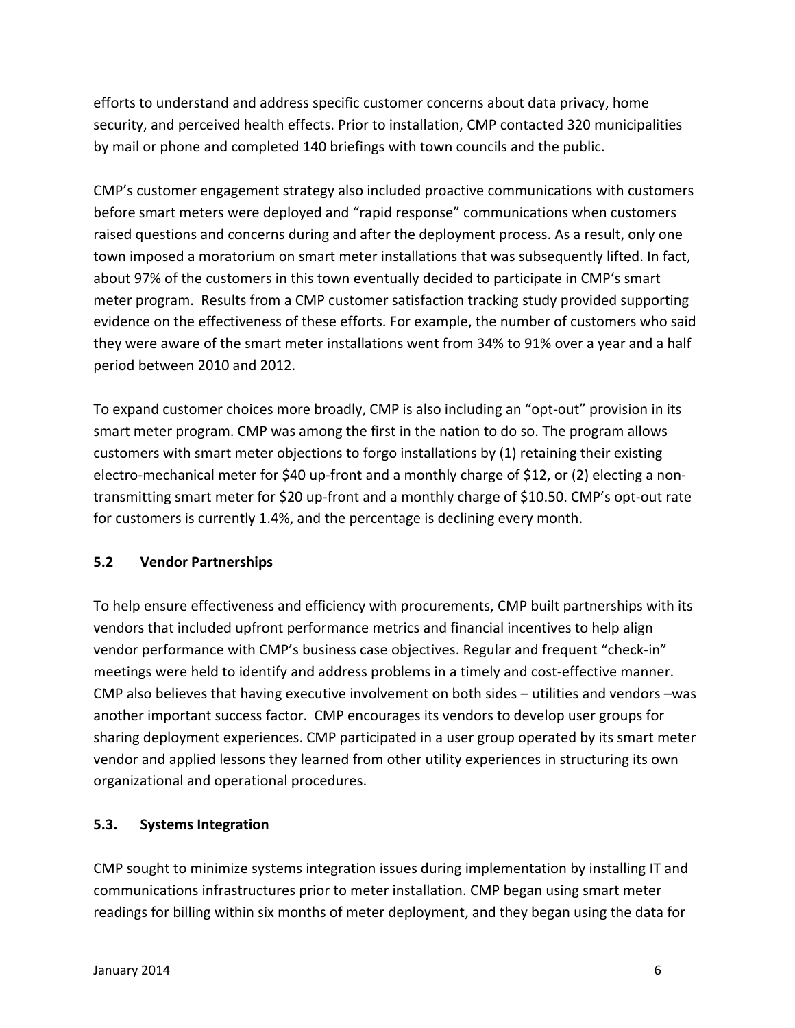efforts to understand and address specific customer concerns about data privacy, home security, and perceived health effects. Prior to installation, CMP contacted 320 municipalities by mail or phone and completed 140 briefings with town councils and the public.

CMP's customer engagement strategy also included proactive communications with customers before smart meters were deployed and "rapid response" communications when customers raised questions and concerns during and after the deployment process. As a result, only one town imposed a moratorium on smart meter installations that was subsequently lifted. In fact, about 97% of the customers in this town eventually decided to participate in CMP's smart meter program. Results from a CMP customer satisfaction tracking study provided supporting evidence on the effectiveness of these efforts. For example, the number of customers who said they were aware of the smart meter installations went from 34% to 91% over a year and a half period between 2010 and 2012.

To expand customer choices more broadly, CMP is also including an "opt-out" provision in its smart meter program. CMP was among the first in the nation to do so. The program allows customers with smart meter objections to forgo installations by (1) retaining their existing electro-mechanical meter for \$40 up-front and a monthly charge of \$12, or (2) electing a nontransmitting smart meter for \$20 up‐front and a monthly charge of \$10.50. CMP's opt‐out rate for customers is currently 1.4%, and the percentage is declining every month.

#### **5.2 Vendor Partnerships**

To help ensure effectiveness and efficiency with procurements, CMP built partnerships with its vendors that included upfront performance metrics and financial incentives to help align vendor performance with CMP's business case objectives. Regular and frequent "check‐in" meetings were held to identify and address problems in a timely and cost-effective manner. CMP also believes that having executive involvement on both sides – utilities and vendors –was another important success factor. CMP encourages its vendors to develop user groups for sharing deployment experiences. CMP participated in a user group operated by its smart meter vendor and applied lessons they learned from other utility experiences in structuring its own organizational and operational procedures.

#### **5.3. Systems Integration**

CMP sought to minimize systems integration issues during implementation by installing IT and communications infrastructures prior to meter installation. CMP began using smart meter readings for billing within six months of meter deployment, and they began using the data for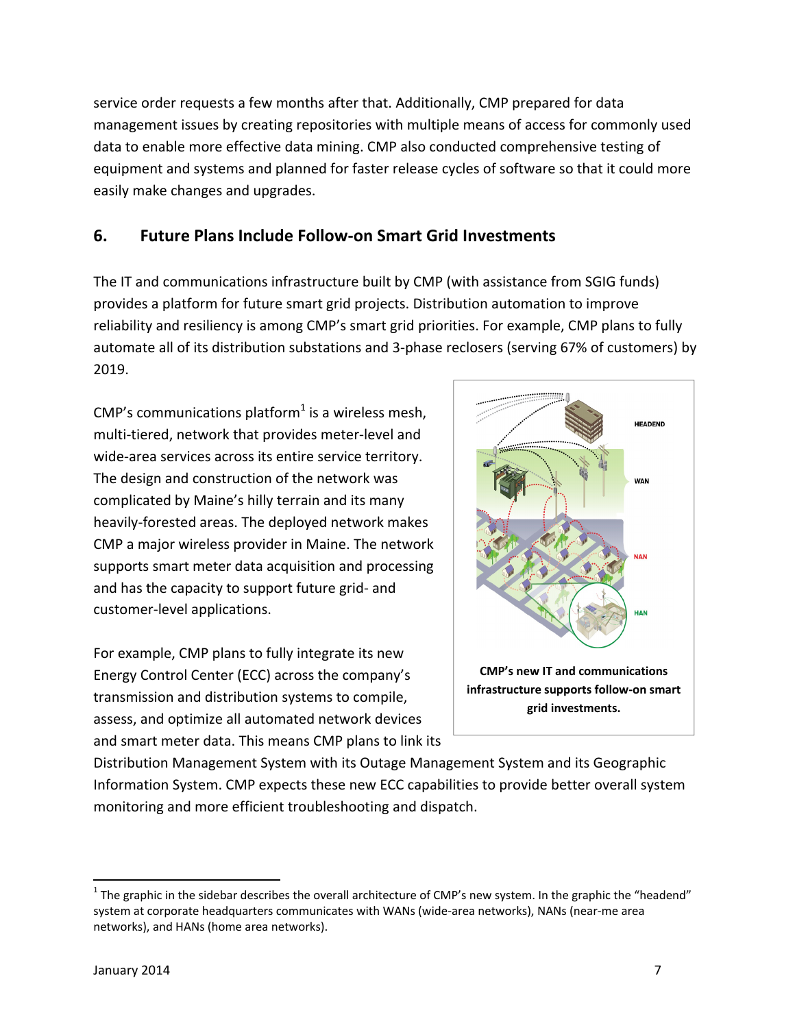service order requests a few months after that. Additionally, CMP prepared for data management issues by creating repositories with multiple means of access for commonly used data to enable more effective data mining. CMP also conducted comprehensive testing of equipment and systems and planned for faster release cycles of software so that it could more easily make changes and upgrades.

## **6. Future Plans Include Follow‐on Smart Grid Investments**

The IT and communications infrastructure built by CMP (with assistance from SGIG funds) provides a platform for future smart grid projects. Distribution automation to improve reliability and resiliency is among CMP's smart grid priorities. For example, CMP plans to fully automate all of its distribution substations and 3‐phase reclosers (serving 67% of customers) by 2019.

CMP's communications platform<sup>1</sup> is a wireless mesh, multi-tiered, network that provides meter-level and wide-area services across its entire service territory. The design and construction of the network was complicated by Maine's hilly terrain and its many heavily‐forested areas. The deployed network makes CMP a major wireless provider in Maine. The network supports smart meter data acquisition and processing and has the capacity to support future grid‐ and customer‐level applications.

For example, CMP plans to fully integrate its new Energy Control Center (ECC) across the company's transmission and distribution systems to compile, assess, and optimize all automated network devices and smart meter data. This means CMP plans to link its



Distribution Management System with its Outage Management System and its Geographic Information System. CMP expects these new ECC capabilities to provide better overall system monitoring and more efficient troubleshooting and dispatch.

 $1$  The graphic in the sidebar describes the overall architecture of CMP's new system. In the graphic the "headend" system at corporate headquarters communicates with WANs (wide-area networks), NANs (near-me area networks), and HANs (home area networks).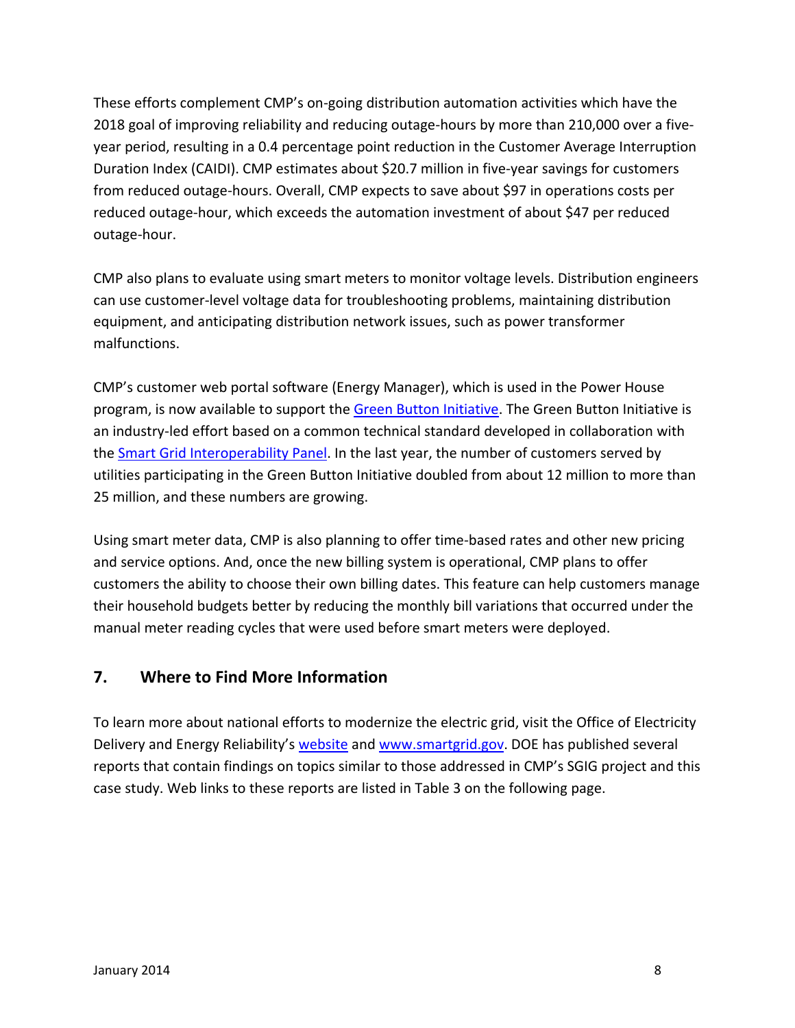These efforts complement CMP's on‐going distribution automation activities which have the 2018 goal of improving reliability and reducing outage‐hours by more than 210,000 over a five‐ year period, resulting in a 0.4 percentage point reduction in the Customer Average Interruption Duration Index (CAIDI). CMP estimates about \$20.7 million in five‐year savings for customers from reduced outage‐hours. Overall, CMP expects to save about \$97 in operations costs per reduced outage‐hour, which exceeds the automation investment of about \$47 per reduced outage‐hour.

CMP also plans to evaluate using smart meters to monitor voltage levels. Distribution engineers can use customer‐level voltage data for troubleshooting problems, maintaining distribution equipment, and anticipating distribution network issues, such as power transformer malfunctions.

CMP's customer web portal software (Energy Manager), which is used in the Power House program, is now available to support the Green Button Initiative. The Green Button Initiative is an industry‐led effort based on a common technical standard developed in collaboration with the Smart Grid Interoperability Panel. In the last year, the number of customers served by utilities participating in the Green Button Initiative doubled from about 12 million to more than 25 million, and these numbers are growing.

Using smart meter data, CMP is also planning to offer time‐based rates and other new pricing and service options. And, once the new billing system is operational, CMP plans to offer customers the ability to choose their own billing dates. This feature can help customers manage their household budgets better by reducing the monthly bill variations that occurred under the manual meter reading cycles that were used before smart meters were deployed.

## **7. Where to Find More Information**

To learn more about national efforts to modernize the electric grid, visit the Office of Electricity Delivery and Energy Reliability's website and www.smartgrid.gov. DOE has published several reports that contain findings on topics similar to those addressed in CMP's SGIG project and this case study. Web links to these reports are listed in Table 3 on the following page.